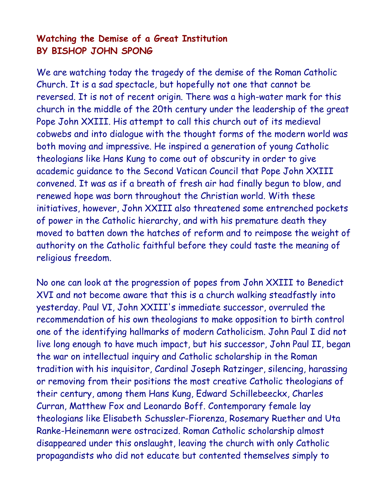## Watching the Demise of a Great Institution BY BISHOP JOHN SPONG

We are watching today the tragedy of the demise of the Roman Catholic Church. It is a sad spectacle, but hopefully not one that cannot be reversed. It is not of recent origin. There was a high-water mark for this church in the middle of the 20th century under the leadership of the great Pope John XXIII. His attempt to call this church out of its medieval cobwebs and into dialogue with the thought forms of the modern world was both moving and impressive. He inspired a generation of young Catholic theologians like Hans Kung to come out of obscurity in order to give academic guidance to the Second Vatican Council that Pope John XXIII convened. It was as if a breath of fresh air had finally begun to blow, and renewed hope was born throughout the Christian world. With these initiatives, however, John XXIII also threatened some entrenched pockets of power in the Catholic hierarchy, and with his premature death they moved to batten down the hatches of reform and to reimpose the weight of authority on the Catholic faithful before they could taste the meaning of religious freedom.

No one can look at the progression of popes from John XXIII to Benedict XVI and not become aware that this is a church walking steadfastly into yesterday. Paul VI, John XXIII's immediate successor, overruled the recommendation of his own theologians to make opposition to birth control one of the identifying hallmarks of modern Catholicism. John Paul I did not live long enough to have much impact, but his successor, John Paul II, began the war on intellectual inquiry and Catholic scholarship in the Roman tradition with his inquisitor, Cardinal Joseph Ratzinger, silencing, harassing or removing from their positions the most creative Catholic theologians of their century, among them Hans Kung, Edward Schillebeeckx, Charles Curran, Matthew Fox and Leonardo Boff. Contemporary female lay theologians like Elisabeth Schussler-Fiorenza, Rosemary Ruether and Uta Ranke-Heinemann were ostracized. Roman Catholic scholarship almost disappeared under this onslaught, leaving the church with only Catholic propagandists who did not educate but contented themselves simply to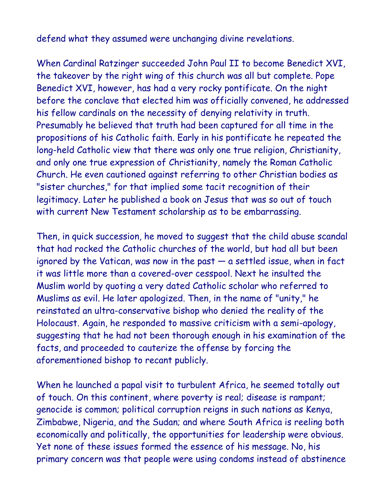defend what they assumed were unchanging divine revelations.

When Cardinal Ratzinger succeeded John Paul II to become Benedict XVI, the takeover by the right wing of this church was all but complete. Pope Benedict XVI, however, has had a very rocky pontificate. On the night before the conclave that elected him was officially convened, he addressed his fellow cardinals on the necessity of denying relativity in truth. Presumably he believed that truth had been captured for all time in the propositions of his Catholic faith. Early in his pontificate he repeated the long-held Catholic view that there was only one true religion, Christianity, and only one true expression of Christianity, namely the Roman Catholic Church. He even cautioned against referring to other Christian bodies as "sister churches," for that implied some tacit recognition of their legitimacy. Later he published a book on Jesus that was so out of touch with current New Testament scholarship as to be embarrassing.

Then, in quick succession, he moved to suggest that the child abuse scandal that had rocked the Catholic churches of the world, but had all but been ignored by the Vatican, was now in the past  $-$  a settled issue, when in fact it was little more than a covered-over cesspool. Next he insulted the Muslim world by quoting a very dated Catholic scholar who referred to Muslims as evil. He later apologized. Then, in the name of "unity," he reinstated an ultra-conservative bishop who denied the reality of the Holocaust. Again, he responded to massive criticism with a semi-apology, suggesting that he had not been thorough enough in his examination of the facts, and proceeded to cauterize the offense by forcing the aforementioned bishop to recant publicly.

When he launched a papal visit to turbulent Africa, he seemed totally out of touch. On this continent, where poverty is real; disease is rampant; genocide is common; political corruption reigns in such nations as Kenya, Zimbabwe, Nigeria, and the Sudan; and where South Africa is reeling both economically and politically, the opportunities for leadership were obvious. Yet none of these issues formed the essence of his message. No, his primary concern was that people were using condoms instead of abstinence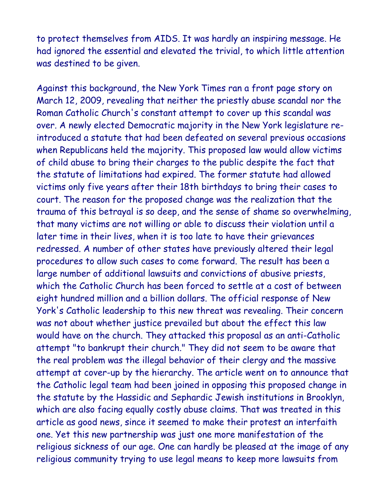to protect themselves from AIDS. It was hardly an inspiring message. He had ignored the essential and elevated the trivial, to which little attention was destined to be given.

Against this background, the New York Times ran a front page story on March 12, 2009, revealing that neither the priestly abuse scandal nor the Roman Catholic Church's constant attempt to cover up this scandal was over. A newly elected Democratic majority in the New York legislature reintroduced a statute that had been defeated on several previous occasions when Republicans held the majority. This proposed law would allow victims of child abuse to bring their charges to the public despite the fact that the statute of limitations had expired. The former statute had allowed victims only five years after their 18th birthdays to bring their cases to court. The reason for the proposed change was the realization that the trauma of this betrayal is so deep, and the sense of shame so overwhelming, that many victims are not willing or able to discuss their violation until a later time in their lives, when it is too late to have their grievances redressed. A number of other states have previously altered their legal procedures to allow such cases to come forward. The result has been a large number of additional lawsuits and convictions of abusive priests, which the Catholic Church has been forced to settle at a cost of between eight hundred million and a billion dollars. The official response of New York's Catholic leadership to this new threat was revealing. Their concern was not about whether justice prevailed but about the effect this law would have on the church. They attacked this proposal as an anti-Catholic attempt "to bankrupt their church." They did not seem to be aware that the real problem was the illegal behavior of their clergy and the massive attempt at cover-up by the hierarchy. The article went on to announce that the Catholic legal team had been joined in opposing this proposed change in the statute by the Hassidic and Sephardic Jewish institutions in Brooklyn, which are also facing equally costly abuse claims. That was treated in this article as good news, since it seemed to make their protest an interfaith one. Yet this new partnership was just one more manifestation of the religious sickness of our age. One can hardly be pleased at the image of any religious community trying to use legal means to keep more lawsuits from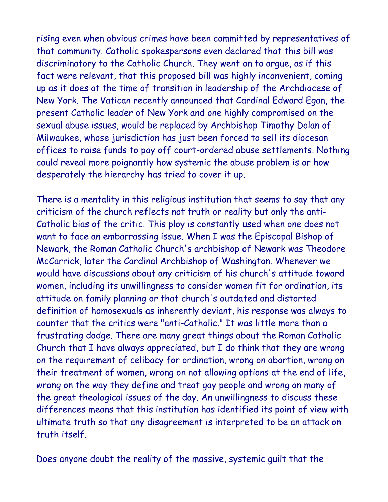rising even when obvious crimes have been committed by representatives of that community. Catholic spokespersons even declared that this bill was discriminatory to the Catholic Church. They went on to argue, as if this fact were relevant, that this proposed bill was highly inconvenient, coming up as it does at the time of transition in leadership of the Archdiocese of New York. The Vatican recently announced that Cardinal Edward Egan, the present Catholic leader of New York and one highly compromised on the sexual abuse issues, would be replaced by Archbishop Timothy Dolan of Milwaukee, whose jurisdiction has just been forced to sell its diocesan offices to raise funds to pay off court-ordered abuse settlements. Nothing could reveal more poignantly how systemic the abuse problem is or how desperately the hierarchy has tried to cover it up.

There is a mentality in this religious institution that seems to say that any criticism of the church reflects not truth or reality but only the anti-Catholic bias of the critic. This ploy is constantly used when one does not want to face an embarrassing issue. When I was the Episcopal Bishop of Newark, the Roman Catholic Church's archbishop of Newark was Theodore McCarrick, later the Cardinal Archbishop of Washington. Whenever we would have discussions about any criticism of his church's attitude toward women, including its unwillingness to consider women fit for ordination, its attitude on family planning or that church's outdated and distorted definition of homosexuals as inherently deviant, his response was always to counter that the critics were "anti-Catholic." It was little more than a frustrating dodge. There are many great things about the Roman Catholic Church that I have always appreciated, but I do think that they are wrong on the requirement of celibacy for ordination, wrong on abortion, wrong on their treatment of women, wrong on not allowing options at the end of life, wrong on the way they define and treat gay people and wrong on many of the great theological issues of the day. An unwillingness to discuss these differences means that this institution has identified its point of view with ultimate truth so that any disagreement is interpreted to be an attack on truth itself.

Does anyone doubt the reality of the massive, systemic guilt that the